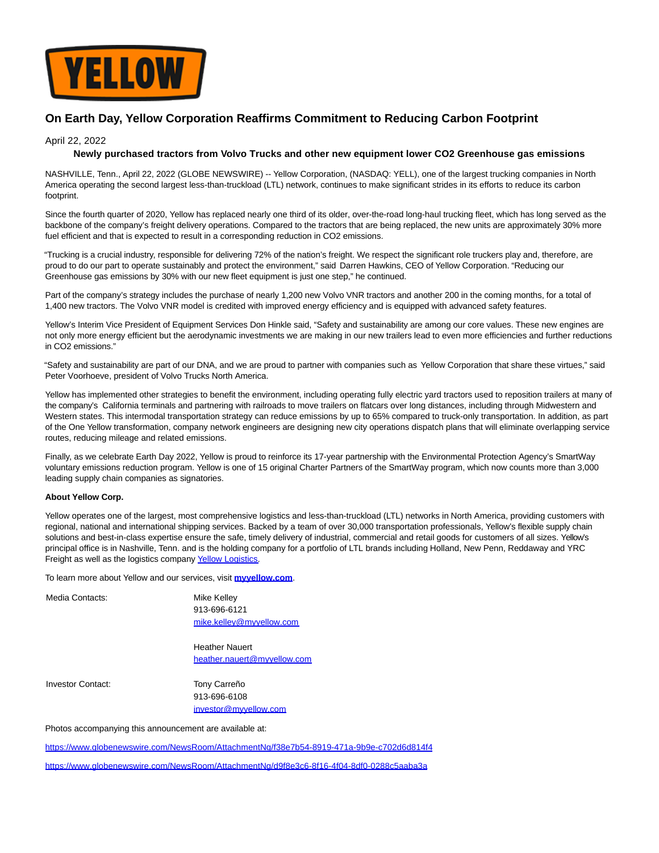

## **On Earth Day, Yellow Corporation Reaffirms Commitment to Reducing Carbon Footprint**

## April 22, 2022

## **Newly purchased tractors from Volvo Trucks and other new equipment lower CO2 Greenhouse gas emissions**

NASHVILLE, Tenn., April 22, 2022 (GLOBE NEWSWIRE) -- Yellow Corporation, (NASDAQ: YELL), one of the largest trucking companies in North America operating the second largest less-than-truckload (LTL) network, continues to make significant strides in its efforts to reduce its carbon footprint.

Since the fourth quarter of 2020, Yellow has replaced nearly one third of its older, over-the-road long-haul trucking fleet, which has long served as the backbone of the company's freight delivery operations. Compared to the tractors that are being replaced, the new units are approximately 30% more fuel efficient and that is expected to result in a corresponding reduction in CO2 emissions.

"Trucking is a crucial industry, responsible for delivering 72% of the nation's freight. We respect the significant role truckers play and, therefore, are proud to do our part to operate sustainably and protect the environment," said Darren Hawkins, CEO of Yellow Corporation. "Reducing our Greenhouse gas emissions by 30% with our new fleet equipment is just one step," he continued.

Part of the company's strategy includes the purchase of nearly 1,200 new Volvo VNR tractors and another 200 in the coming months, for a total of 1,400 new tractors. The Volvo VNR model is credited with improved energy efficiency and is equipped with advanced safety features.

Yellow's Interim Vice President of Equipment Services Don Hinkle said, "Safety and sustainability are among our core values. These new engines are not only more energy efficient but the aerodynamic investments we are making in our new trailers lead to even more efficiencies and further reductions in CO2 emissions."

"Safety and sustainability are part of our DNA, and we are proud to partner with companies such as Yellow Corporation that share these virtues," said Peter Voorhoeve, president of Volvo Trucks North America.

Yellow has implemented other strategies to benefit the environment, including operating fully electric yard tractors used to reposition trailers at many of the company's California terminals and partnering with railroads to move trailers on flatcars over long distances, including through Midwestern and Western states. This intermodal transportation strategy can reduce emissions by up to 65% compared to truck-only transportation. In addition, as part of the One Yellow transformation, company network engineers are designing new city operations dispatch plans that will eliminate overlapping service routes, reducing mileage and related emissions.

Finally, as we celebrate Earth Day 2022, Yellow is proud to reinforce its 17-year partnership with the Environmental Protection Agency's SmartWay voluntary emissions reduction program. Yellow is one of 15 original Charter Partners of the SmartWay program, which now counts more than 3,000 leading supply chain companies as signatories.

## **About Yellow Corp.**

Yellow operates one of the largest, most comprehensive logistics and less-than-truckload (LTL) networks in North America, providing customers with regional, national and international shipping services. Backed by a team of over 30,000 transportation professionals, Yellow's flexible supply chain solutions and best-in-class expertise ensure the safe, timely delivery of industrial, commercial and retail goods for customers of all sizes. Yellow's principal office is in Nashville, Tenn. and is the holding company for a portfolio of LTL brands including Holland, New Penn, Reddaway and YRC Freight as well as the logistics company Yellow Logistics.

To learn more about Yellow and our services, visit **[myyellow.com](https://www.globenewswire.com/Tracker?data=3WZuTNIi2C3y-32m66F6E95pZkdFv_qwZ6gnRgNgrL0N1tgQwnzn7ELeg2LHuj_UsWK6oYfm2Cvw3hiLBV61Aw==)**.

Media Contacts: Mike Kelley

913-696-6121 [mike.kelley@myyellow.com](mailto:mike.kelley@myyellow.com)

Heather Nauert [heather.nauert@myyellow.com](mailto:heather.nauert@myyellow.com)

Investor Contact: Tony Carreño

913-696-6108 [investor@myyellow.com](mailto:investor@myyellow.com)

Photos accompanying this announcement are available at:

[https://www.globenewswire.com/NewsRoom/AttachmentNg/f38e7b54-8919-471a-9b9e-c702d6d814f4](https://www.globenewswire.com/Tracker?data=MNdc3A-bhXLVHuE2t43H5d-JHiqgmc37WUfchagc5KyRkN6-A_gQ-Oqt71TFeYkVT6Po0d6KZfzJVyQC1PdGqEXbn3fiCvFOwjc-1cfsQo8A6bNrYdRKbHNAsLkvRF3hwhJom70r6NGLlVMP0RjeTj0Pn2Izjk4hFGKAYoTFLoIXeq8n2qGeUTCAPfHmOENV7AX2MVVseR-ZRrAruo7Qyjygj0owYsy_UftImJJaS8yjAlIIMEtgDN-ldcbp87iqq-XIbwMHR4vDRMV5-bBtgw==)

[https://www.globenewswire.com/NewsRoom/AttachmentNg/d9f8e3c6-8f16-4f04-8df0-0288c5aaba3a](https://www.globenewswire.com/Tracker?data=MNdc3A-bhXLVHuE2t43H5d-JHiqgmc37WUfchagc5KyRkN6-A_gQ-Oqt71TFeYkVVnYHbwpSZCbM7CFntoZIFagYoYaF8APc7t3ESL1l1I2AlLM3N5DrxENi1X_jP3HqdFRlJRBUmUIxwvRMjL0-h19dkOLHXGoN3j0VKKIMrz0SmCQeZZ8AIzvpAMvDsGNKUcxd2x1Ne4pUmuOPL9cPfyoXuuYUw4sloDR8diTVorkgakrSM2VPtoVD4QgVL9rBRrcWRQNyo8e2O7RFCBUZag==)